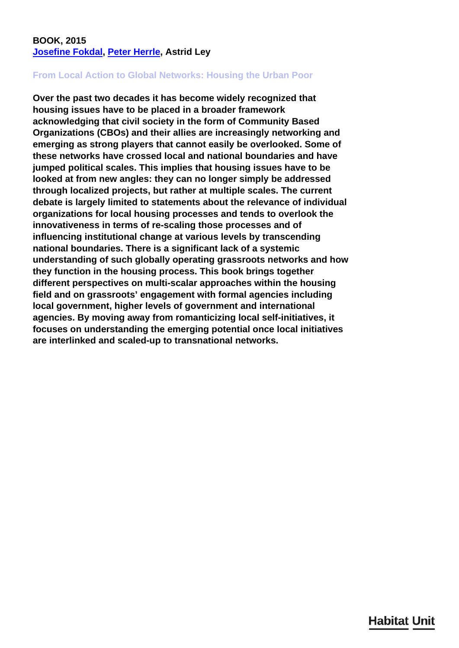## **BOOK, 2015 [Josefine Fokdal](/en/team/josefine-fokdal/), [Peter Herrle,](/en/team/peter-herrle/) Astrid Ley**

## **From Local Action to Global Networks: Housing the Urban Poor**

**Over the past two decades it has become widely recognized that housing issues have to be placed in a broader framework acknowledging that civil society in the form of Community Based Organizations (CBOs) and their allies are increasingly networking and emerging as strong players that cannot easily be overlooked. Some of these networks have crossed local and national boundaries and have jumped political scales. This implies that housing issues have to be looked at from new angles: they can no longer simply be addressed through localized projects, but rather at multiple scales. The current debate is largely limited to statements about the relevance of individual organizations for local housing processes and tends to overlook the innovativeness in terms of re-scaling those processes and of influencing institutional change at various levels by transcending national boundaries. There is a significant lack of a systemic understanding of such globally operating grassroots networks and how they function in the housing process. This book brings together different perspectives on multi-scalar approaches within the housing field and on grassroots' engagement with formal agencies including local government, higher levels of government and international agencies. By moving away from romanticizing local self-initiatives, it focuses on understanding the emerging potential once local initiatives are interlinked and scaled-up to transnational networks.**